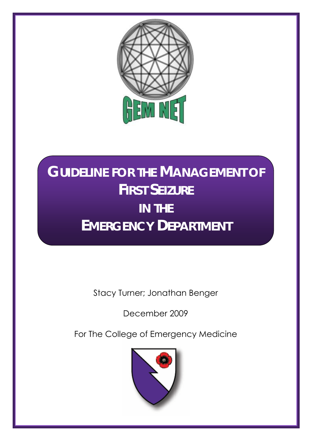

# **GUIDELINE FOR THE MANAGEMENT OF FIRST SEIZURE IN THE EMERGENCY DEPARTMENT**

Stacy Turner; Jonathan Benger

December 2009

For The College of Emergency Medicine

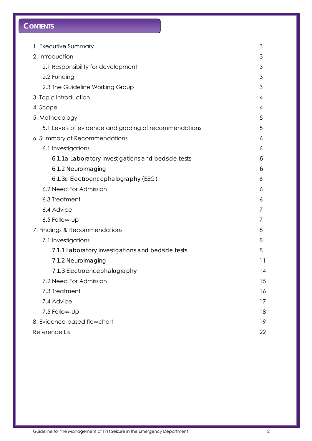# **CONTENTS**

| 1. Executive Summary                                  | 3  |
|-------------------------------------------------------|----|
| 2. Introduction                                       | 3  |
| 2.1 Responsibility for development                    | 3  |
| 2.2 Funding                                           | 3  |
| 2.3 The Guideline Working Group                       | 3  |
| 3. Topic Introduction                                 | 4  |
| 4. Scope                                              | 4  |
| 5. Methodology                                        | 5  |
| 5.1 Levels of evidence and grading of recommendations | 5  |
| 6. Summary of Recommendations                         | 6  |
| 6.1 Investigations                                    | 6  |
| 6.1.1a Laboratory investigations and bedside tests    | 6  |
| 6.1.2 Neuroimaging                                    | 6  |
| 6.1.3c Electroencephalography (EEG)                   | 6  |
| 6.2 Need For Admission                                | 6  |
| 6.3 Treatment                                         | 6  |
| 6.4 Advice                                            |    |
| 6.5 Follow-up                                         | Τ  |
| 7. Findings & Recommendations                         | 8  |
| 7.1 Investigations                                    | 8  |
| 7.1.1 Laboratory investigations and bedside tests     | 8  |
| 7.1.2 Neuroimaging                                    | 11 |
| 7.1.3 Electroencephalography                          | 14 |
| 7.2 Need For Admission                                | 15 |
| 7.3 Treatment                                         | 16 |
| 7.4 Advice                                            | 17 |
| 7.5 Follow-Up                                         | 18 |
| 8. Evidence-based flowchart                           | 19 |
| Reference List                                        | 22 |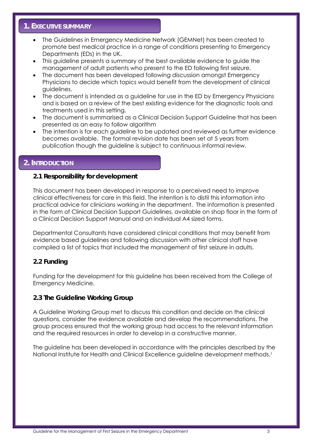# **1. EXECUTIVE SUMMARY**

- The Guidelines in Emergency Medicine Network (GEMNet) has been created to promote best medical practice in a range of conditions presenting to Emergency Departments (EDs) in the UK.
- This guideline presents a summary of the best available evidence to guide the management of adult patients who present to the ED following first seizure.
- The document has been developed following discussion amongst Emergency Physicians to decide which topics would benefit from the development of clinical guidelines.
- The document is intended as a guideline for use in the ED by Emergency Physicians and is based on a review of the best existing evidence for the diagnostic tools and treatments used in this setting.
- The document is summarised as a Clinical Decision Support Guideline that has been presented as an easy to follow algorithm
- The intention is for each guideline to be updated and reviewed as further evidence becomes available. The formal revision date has been set at 5 years from publication though the guideline is subject to continuous informal review.

# **2. INTRODUCTION**

# **2.1 Responsibility for development**

This document has been developed in response to a perceived need to improve clinical effectiveness for care in this field. The intention is to distil this information into practical advice for clinicians working in the department. The information is presented in the form of Clinical Decision Support Guidelines, available on shop floor in the form of a Clinical Decision Support Manual and on individual A4 sized forms.

Departmental Consultants have considered clinical conditions that may benefit from evidence based guidelines and following discussion with other clinical staff have compiled a list of topics that included the management of first seizure in adults.

# **2.2 Funding**

Funding for the development for this guideline has been received from the College of Emergency Medicine.

## **2.3 The Guideline Working Group**

A Guideline Working Group met to discuss this condition and decide on the clinical questions, consider the evidence available and develop the recommendations. The group process ensured that the working group had access to the relevant information and the required resources in order to develop in a constructive manner.

The guideline has been developed in accordance with the principles described by the National Institute for Health and Clinical Excellence guideline development methods.<sup>1</sup>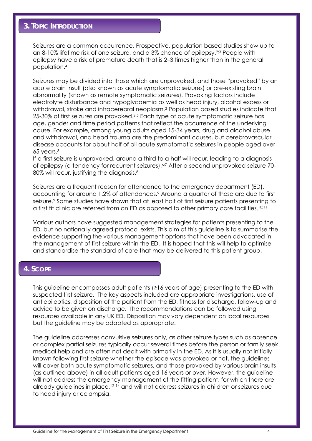# **3. TOPIC INTRODUCTION**

Seizures are a common occurrence. Prospective, population based studies show up to an 8-10% lifetime risk of one seizure, and a 3% chance of epilepsy.2;3 People with epilepsy have a risk of premature death that is 2–3 times higher than in the general population.4

Seizures may be divided into those which are unprovoked, and those "provoked" by an acute brain insult (also known as acute symptomatic seizures) or pre-existing brain abnormality (known as remote symptomatic seizures). Provoking factors include electrolyte disturbance and hypoglycaemia as well as head injury, alcohol excess or withdrawal, stroke and intracerebral neoplasm.3 Population based studies indicate that 25-30% of first seizures are provoked.3;5 Each type of acute symptomatic seizure has age, gender and time period patterns that reflect the occurrence of the underlying cause. For example, among young adults aged 15-34 years, drug and alcohol abuse and withdrawal, and head trauma are the predominant causes, but cerebrovascular disease accounts for about half of all acute symptomatic seizures in people aged over 65 years.3

If a first seizure is unprovoked, around a third to a half will recur, leading to a diagnosis of epilepsy (a tendency for recurrent seizures).6;7 After a second unprovoked seizure 70- 80% will recur, justifying the diagnosis.<sup>8</sup>

Seizures are a frequent reason for attendance to the emergency department (ED), accounting for around 1.2% of attendances.<sup>9</sup> Around a quarter of these are due to first seizure.<sup>9</sup> Some studies have shown that at least half of first seizure patients presenting to a first fit clinic are referred from an ED as opposed to other primary care facilities.10;11

Various authors have suggested management strategies for patients presenting to the ED, but no nationally agreed protocol exists. This aim of this guideline is to summarise the evidence supporting the various management options that have been advocated in the management of first seizure within the ED. It is hoped that this will help to optimise and standardise the standard of care that may be delivered to this patient group.

## **4. SCOPE**

This guideline encompasses adult patients (≥16 years of age) presenting to the ED with suspected first seizure. The key aspects included are appropriate investigations, use of antiepileptics, disposition of the patient from the ED, fitness for discharge, follow-up and advice to be given on discharge. The recommendations can be followed using resources available in any UK ED. Disposition may vary dependent on local resources but the guideline may be adapted as appropriate.

The guideline addresses convulsive seizures only, as other seizure types such as absence or complex partial seizures typically occur several times before the person or family seek medical help and are often not dealt with primarily in the ED. As it is usually not initially known following first seizure whether the episode was provoked or not, the guidelines will cover both acute symptomatic seizures, and those provoked by various brain insults (as outlined above) in all adult patients aged 16 years or over. However, the guideline will not address the emergency management of the fitting patient, for which there are already guidelines in place,12-14 and will not address seizures in children or seizures due to head injury or eclampsia.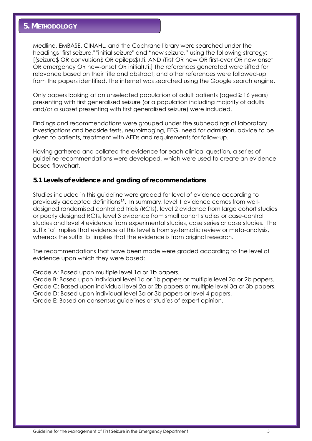# **5. METHODOLOGY**

Medline, EMBASE, CINAHL, and the Cochrane library were searched under the headings "first seizure," "initial seizure" and "new seizure." using the following strategy: [(seizure\$ OR convulsion\$ OR epileps\$).ti. AND (first OR new OR first-ever OR new onset OR emergency OR new-onset OR initial).ti.] The references generated were sifted for relevance based on their title and abstract; and other references were followed-up from the papers identified. The internet was searched using the Google search engine.

Only papers looking at an unselected population of adult patients (aged ≥ 16 years) presenting with first generalised seizure (or a population including majority of adults and/or a subset presenting with first generalised seizure) were included.

Findings and recommendations were grouped under the subheadings of laboratory investigations and bedside tests, neuroimaging, EEG, need for admission, advice to be given to patients, treatment with AEDs and requirements for follow-up.

Having gathered and collated the evidence for each clinical question, a series of guideline recommendations were developed, which were used to create an evidencebased flowchart.

## **5.1 Levels of evidence and grading of recommendations**

Studies included in this guideline were graded for level of evidence according to previously accepted definitions<sup>15</sup>. In summary, level 1 evidence comes from welldesigned randomised controlled trials (RCTs), level 2 evidence from large cohort studies or poorly designed RCTs, level 3 evidence from small cohort studies or case-control studies and level 4 evidence from experimental studies, case series or case studies. The suffix 'a' implies that evidence at this level is from systematic review or meta-analysis, whereas the suffix 'b' implies that the evidence is from original research.

The recommendations that have been made were graded according to the level of evidence upon which they were based:

Grade A: Based upon multiple level 1a or 1b papers.

Grade B: Based upon individual level 1a or 1b papers or multiple level 2a or 2b papers. Grade C: Based upon individual level 2a or 2b papers or multiple level 3a or 3b papers. Grade D: Based upon individual level 3a or 3b papers or level 4 papers. Grade E: Based on consensus guidelines or studies of expert opinion.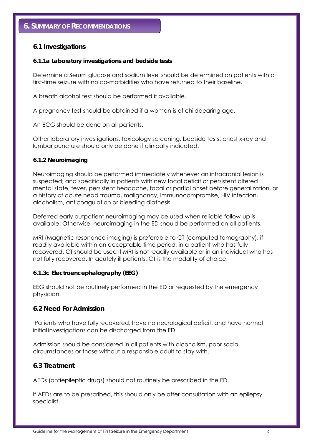# **6.1 Investigations**

## *6.1.1a Laboratory investigations and bedside tests*

Determine a Serum glucose and sodium level should be determined on patients with a first-time seizure with no co-morbidities who have returned to their baseline.

A breath alcohol test should be performed if available.

A pregnancy test should be obtained if a woman is of childbearing age.

An ECG should be done on all patients.

Other laboratory investigations, toxicology screening, bedside tests, chest x-ray and lumbar puncture should only be done if clinically indicated.

## *6.1.2 Neuroimaging*

Neuroimaging should be performed immediately whenever an intracranial lesion is suspected; and specifically in patients with new focal deficit or persistent altered mental state, fever, persistent headache, focal or partial onset before generalization, or a history of acute head trauma, malignancy, immunocompromise, HIV infection, alcoholism, anticoagulation or bleeding diathesis.

Deferred early outpatient neuroimaging may be used when reliable follow-up is available. Otherwise, neuroimaging in the ED should be performed on all patients.

MRI (Magnetic resonance imaging) is preferable to CT (computed tomography), if readily available within an acceptable time period, in a patient who has fully recovered. CT should be used if MRI is not readily available or in an individual who has not fully recovered. In acutely ill patients, CT is the modality of choice.

## *6.1.3c Electroencephalography (EEG)*

EEG should not be routinely performed in the ED or requested by the emergency physician.

# **6.2 Need For Admission**

 Patients who have fully recovered, have no neurological deficit, and have normal initial investigations can be discharged from the ED.

Admission should be considered in all patients with alcoholism, poor social circumstances or those without a responsible adult to stay with.

# **6.3 Treatment**

AEDs (antiepileptic drugs) should not routinely be prescribed in the ED.

If AEDs are to be prescribed, this should only be after consultation with an epilepsy specialist.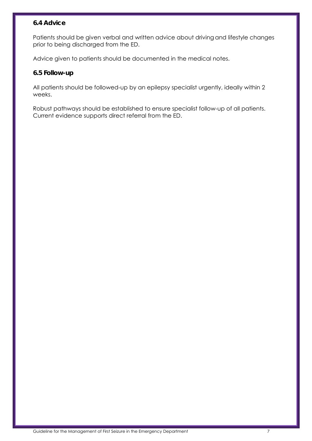# **6.4 Advice**

Patients should be given verbal and written advice about driving and lifestyle changes prior to being discharged from the ED.

Advice given to patients should be documented in the medical notes.

# **6.5 Follow-up**

All patients should be followed-up by an epilepsy specialist urgently, ideally within 2 weeks.

Robust pathways should be established to ensure specialist follow-up of all patients. Current evidence supports direct referral from the ED.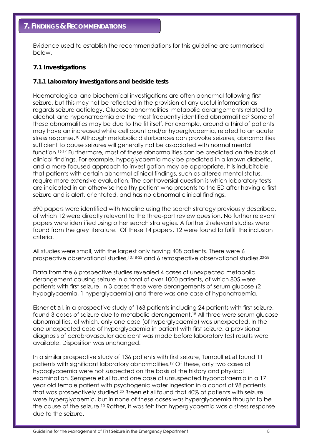Evidence used to establish the recommendations for this guideline are summarised below.

## **7.1 Investigations**

## *7.1.1 Laboratory investigations and bedside tests*

Haematological and biochemical investigations are often abnormal following first seizure, but this may not be reflected in the provision of any useful information as regards seizure aetiology. Glucose abnormalities, metabolic derangements related to alcohol, and hyponatraemia are the most frequently identified abnormalities<sup>9</sup> Some of these abnormalities may be due to the fit itself. For example, around a third of patients may have an increased white cell count and/or hyperglycaemia, related to an acute stress response.10 Although metabolic disturbances can provoke seizures, abnormalities sufficient to cause seizures will generally not be associated with normal mental function.16;17 Furthermore, most of these abnormalities can be predicted on the basis of clinical findings. For example, hypoglycaemia may be predicted in a known diabetic, and a more focused approach to investigation may be appropriate. It is indubitable that patients with certain abnormal clinical findings, such as altered mental status, require more extensive evaluation. The controversial question is which laboratory tests are indicated in an otherwise healthy patient who presents to the ED after having a first seizure and is alert, orientated, and has no abnormal clinical findings.

590 papers were identified with Medline using the search strategy previously described, of which 12 were directly relevant to the three-part review question. No further relevant papers were identified using other search strategies. A further 2 relevant studies were found from the grey literature. Of these 14 papers, 12 were found to fulfill the inclusion criteria.

All studies were small, with the largest only having 408 patients. There were 6 prospective observational studies,10;18-22 and 6 retrospective observational studies,23-28

Data from the 6 prospective studies revealed 4 cases of unexpected metabolic derangement causing seizure in a total of over 1000 patients, of which 805 were patients with first seizure. In 3 cases these were derangements of serum glucose (2 hypoglycaemia, 1 hyperglycaemia) and there was one case of hyponatraemia.

Eisner *et al*, in a prospective study of 163 patients including 24 patients with first seizure, found 3 cases of seizure due to metabolic derangement.18 All three were serum glucose abnormalities, of which, only one case (of hyperglycaemia) was unexpected. In the one unexpected case of hyperglycaemia in patient with first seizure, a provisional diagnosis of cerebrovascular accident was made before laboratory test results were available. Disposition was unchanged.

In a similar prospective study of 136 patients with first seizure, Turnbull *et al* found 11 patients with significant laboratory abnormalities.19 Of these, only two cases of hypoglycaemia were not suspected on the basis of the history and physical examination. Sempere *et al* found one case of unsuspected hyponatraemia in a 17 year old female patient with psychogenic water ingestion in a cohort of 98 patients that was prospectively studied.20 Breen *et al* found that 40% of patients with seizure were hyperglycaemic, but in none of these cases was hyperglycaemia thought to be the cause of the seizure.<sup>10</sup> Rather, it was felt that hyperglycaemia was a stress response due to the seizure.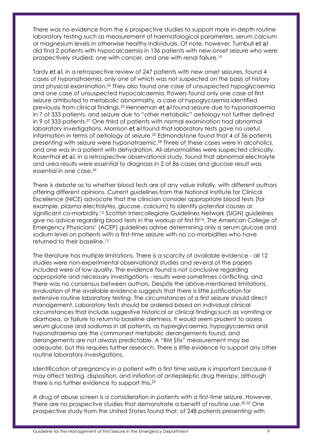There was no evidence from the 6 prospective studies to support more in-depth routine laboratory testing such as measurement of haematological parameters, serum calcium or magnesium levels in otherwise healthy individuals. Of note, however, Turnbull *et al* did find 2 patients with hypocalcaemia in 136 patients with new-onset seizure who were prospectively studied; one with cancer, and one with renal failure.19

Tardy *et al*, in a retrospective review of 247 patients with new onset seizures, found 4 cases of hyponatraemia, only one of which was not suspected on the basis of history and physical examination.26 They also found one case of unsuspected hypoglycaemia and one case of unsuspected hypocalcaemia. Powers found only one case of first seizure attributed to metabolic abnormality, a case of hypoglycaemia identified previously from clinical findings.23 Henneman *et al* found seizure due to hyponatraemia in 7 of 333 patients, and seizure due to "other metabolic" aetiology not further defined in 9 of 333 patients.27 One third of patients with normal examination had abnormal laboratory investigations. Morrison *et al* found that laboratory tests gave no useful information in terms of aetiology of seizure.25 Edmondstone found that 4 of 56 patients presenting with seizure were hyponatraemic.28 Three of these cases were in alcoholics, and one was in a patient with dehydration. All abnormalities were suspected clinically. Rosenthal *et al*, in a retrospective observational study, found that abnormal electrolyte and urea results were essential to diagnosis in 2 of 86 cases and glucose result was essential in one case.24

There is debate as to whether blood tests are of any value initially, with different authors offering different opinions. Current guidelines from the National Institute for Clinical Excellence (NICE) advocate that the clinician consider appropriate blood tests (for example, plasma electrolytes, glucose, calcium) to identify potential causes or significant co-morbidity.12 Scottish Intercollegiate Guidelines Network (SIGN) guidelines give no advice regarding blood tests in the workup of first fit<sup>14</sup>. The American College of Emergency Physicians' (ACEP) guidelines advise determining only a serum glucose and sodium level on patients with a first-time seizure with no co-morbidities who have returned to their baseline.13

The literature has multiple limitations. There is a scarcity of available evidence - all 12 studies were non-experimental observational studies and several of the papers included were of low quality. The evidence found is not conclusive regarding appropriate and necessary investigations - results were sometimes conflicting, and there was no consensus between authors. Despite the above-mentioned limitations, evaluation of the available evidence suggests that there is little justification for extensive routine laboratory testing. The circumstances of a first seizure should direct management. Laboratory tests should be ordered based on individual clinical circumstances that include suggestive historical or clinical findingssuch as vomiting or diarrhoea, or failure to return to baseline alertness. It would seem prudent to assess serum glucose and sodiuma in all patients, as hyperglycaemia, hypoglycaemia and hyponatraemia are the commonest metabolic derangements found, and derangements are not always predictable. A "BM Stix" measurement may be adequate, but this requires further research. There is little evidence to support any other routine laboratory investigations.

Identification of pregnancy in a patient with a first time seizure is important because it may affect testing, disposition, and initiation of antiepileptic drug therapy, although there is no further evidence to support this.29

A drug of abuse screen is a consideration in patients with a first-time seizure. However, there are no prospective studies that demonstrate a benefit of routine use.30-32 One prospective study from the United States found that, of 248 patients presenting with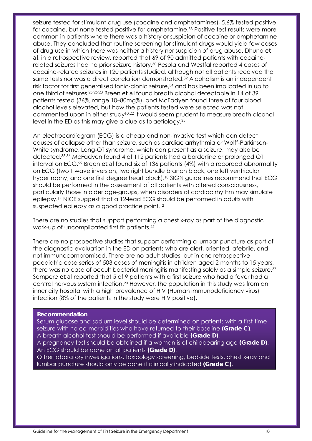seizure tested for stimulant drug use (cocaine and amphetamines), 5.6% tested positive for cocaine, but none tested positive for amphetamine.<sup>33</sup> Positive test results were more common in patients where there was a history or suspicion of cocaine or amphetamine abuse. They concluded that routine screening for stimulant drugs would yield few cases of drug use in which there was neither a history nor suspicion of drug abuse. Dhuna *et al*, in a retrospective review, reported that 69 of 90 admitted patients with cocainerelated seizures had no prior seizure history.30 Pesola and Westfal reported 4 cases of cocaine-related seizures in 120 patients studied, although not all patients received the same tests nor was a direct correlation demonstrated.32 Alcoholism is an independent risk factor for first generalised tonic-clonic seizure,<sup>34</sup> and has been implicated in up to one third of seizures.25;26;28 Breen *et al* found breath alcohol detectable in 14 of 39 patients tested (36%, range 10–80mg%), and McFadyen found three of four blood alcohol levels elevated, but how the patients tested were selected was not commented upon in either study<sup>10;22</sup> It would seem prudent to measure breath alcohol level in the ED as this may give a clue as to aetiology.35

An electrocardiogram (ECG) is a cheap and non-invasive test which can detect causes of collapse other than seizure, such as cardiac arrhythmia or Wolff-Parkinson-White syndrome. Long-QT syndrome, which can present as a seizure, may also be detected.35;36 McFadyen found 4 of 112 patients had a borderline or prolonged QT interval on ECG.22 Breen *et al* found six of 136 patients (4%) with a recorded abnormality on ECG (two T wave inversion, two right bundle branch block, one left ventricular hypertrophy, and one first degree heart block).<sup>10</sup> SIGN guidelines recommend that ECG should be performed in the assessment of all patients with altered consciousness, particularly those in older age-groups, when disorders of cardiac rhythm may simulate epilepsy.14 NICE suggest that a 12-lead ECG should be performed in adults with suspected epilepsy as a good practice point.12

There are no studies that support performing a chest x-ray as part of the diagnostic work-up of uncomplicated first fit patients.25

There are no prospective studies that support performing a lumbar puncture as part of the diagnostic evaluation in the ED on patients who are alert, oriented, afebrile, and not immunocompromised. There are no adult studies, but in one retrospective paediatric case series of 503 cases of meningitis in children aged 2 months to 15 years, there was no case of occult bacterial meningitis manifesting solely as a simple seizure.37 Sempere *et al* reported that 5 of 9 patients with a first seizure who had a fever had a central nervous system infection.20 However, the population in this study was from an inner city hospital with a high prevalence of HIV (Human immunodeficiency virus) infection (8% of the patients in the study were HIV positive).

#### **Recommendation**

Serum glucose and sodium level should be determined on patients with a first-time seizure with no co-morbidities who have returned to their baseline **(Grade C)**. A breath alcohol test should be performed if available **(Grade D)**.

A pregnancy test should be obtained if a woman is of childbearing age **(Grade D)**. An ECG should be done on all patients **(Grade D)**.

Other laboratory investigations, toxicology screening, bedside tests, chest x-ray and lumbar puncture should only be done if clinically indicated **(Grade C)**.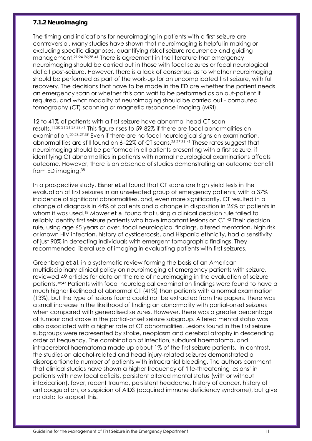## *7.1.2 Neuroimaging*

The timing and indications for neuroimaging in patients with a first seizure are controversial. Many studies have shown that neuroimaging is helpful in making or excluding specific diagnoses, quantifying risk of seizure recurrence and guiding management.21;24-26;38-41 There is agreement in the literature that emergency neuroimaging should be carried out in those with focal seizures or focal neurological deficit post-seizure. However, there is a lack of consensus as to whether neuroimaging should be performed as part of the work-up for an uncomplicated first seizure, with full recovery. The decisions that have to be made in the ED are whether the patient needs an emergency scan or whether this can wait to be performed as an out-patient if required, and what modality of neuroimaging should be carried out - computed tomography (CT) scanning or magnetic resonance imaging (MRI).

12 to 41% of patients with a first seizure have abnormal head CT scan results.11;20;21;26;27;39;41 This figure rises to 59-82% if there are focal abnormalities on examination.20;26;27;39 Even if there are no focal neurological signs on examination, abnormalities are still found on 6–22% of CT scans.26;27;39;41 These rates suggest that neuroimaging should be performed in all patients presenting with a first seizure, if identifying CT abnormalities in patients with normal neurological examinations affects outcome. However, there is an absence of studies demonstrating an outcome benefit from ED imaging.38

In a prospective study, Eisner *et al* found that CT scans are high yield tests in the evaluation of first seizures in an unselected group of emergency patients, with a 37% incidence of significant abnormalities, and, even more significantly, CT resulted in a change of diagnosis in 44% of patients and a change in disposition in 26% of patients in whom it was used.18 Mower *et al* found that using a clinical decision rule failed to reliably identify first seizure patients who have important lesions on CT.42 Their decision rule, using age 65 years or over, focal neurological findings, altered mentation, high risk or known HIV infection, history of cysticercosis, and Hispanic ethnicity, had a sensitivity of just 90% in detecting individuals with emergent tomographic findings. They recommended liberal use of imaging in evaluating patients with first seizures.

Greenberg *et al*, in a systematic review forming the basis of an American multidisciplinary clinical policy on neuroimaging of emergency patients with seizure, reviewed 49 articles for data on the role of neuroimaging in the evaluation of seizure patients.38;43 Patients with focal neurological examination findings were found to have a much higher likelihood of abnormal CT (41%) than patients with a normal examination (13%), but the type of lesions found could not be extracted from the papers. There was a small increase in the likelihood of finding an abnormality with partial-onset seizures when compared with generalised seizures. However, there was a greater percentage of tumour and stroke in the partial-onset seizure subgroup. Altered mental status was also associated with a higher rate of CT abnormalities. Lesions found in the first seizure subgroups were represented by stroke, neoplasm and cerebral atrophy in descending order of frequency. The combination of infection, subdural haematoma, and intracerebral haematoma made up about 1% of the first seizure patients. In contrast, the studies on alcohol-related and head injury-related seizures demonstrated a disproportionate number of patients with intracranial bleeding. The authors comment that clinical studies have shown a higher frequency of 'life-threatening lesions' in patients with new focal deficits, persistent altered mental status (with or without intoxication), fever, recent trauma, persistent headache, history of cancer, history of anticoagulation, or suspicion of AIDS (acquired immune deficiency syndrome), but give no data to support this.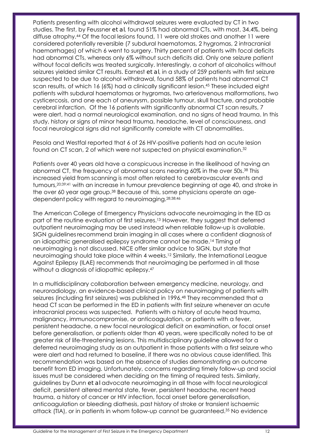Patients presenting with alcohol withdrawal seizures were evaluated by CT in two studies. The first, by Feussner *et al*, found 51% had abnormal CTs, with most, 34.4%, being diffuse atrophy.44 Of the focal lesions found, 11 were old strokes and another 11 were considered potentially reversible (7 subdural haematomas, 2 hygromas, 2 intracranial haemorrhages) of which 6 went to surgery. Thirty percent of patients with focal deficits had abnormal CTs, whereas only 6% without such deficits did. Only one seizure patient without focal deficits was treated surgically. Interestingly, a cohort of alcoholics without seizures yielded similar CT results. Earnest *et al*, in a study of 259 patients with first seizure suspected to be due to alcohol withdrawal, found 58% of patients had abnormal CT scan results, of which 16 (6%) had a clinically significant lesion.45 These included eight patients with subdural haematomas or hygromas, two arteriovenous malformations, two cysticercosis, and one each of aneurysm, possible tumour, skull fracture, and probable cerebral infarction. Of the 16 patients with significantly abnormal CT scan results, 7 were alert, had a normal neurological examination, and no signs of head trauma. In this study, history or signs of minor head trauma, headache, level of consciousness, and focal neurological signs did not significantly correlate with CT abnormalities.

Pesola and Westfal reported that 6 of 26 HIV-positive patients had an acute lesion found on CT scan, 2 of which were not suspected on physical examination.32

Patients over 40 years old have a conspicuous increase in the likelihood of having an abnormal CT, the frequency of abnormal scans nearing 60% in the over 50s.<sup>38</sup> This increased yield from scanning is most often related to cerebrovascular events and tumours,20;39;41 with an increase in tumour prevalence beginning at age 40, and stroke in the over 60 year age group.<sup>38</sup> Because of this, some physicians operate an agedependent policy with regard to neuroimaging.28;38;46

The American College of Emergency Physicians advocate neuroimaging in the ED as part of the routine evaluation of first seizures.<sup>13</sup> However, they suggest that deferred outpatient neuroimaging may be used instead when reliable follow-up is available. SIGN guidelines recommend brain imaging in all cases where a confident diagnosis of an idiopathic generalised epilepsy syndrome cannot be made.14 Timing of neuroimaging is not discussed. NICE offer similar advice to SIGN, but state that neuroimaging should take place within 4 weeks.12 Similarly, the International League Against Epilepsy (ILAE) recommends that neuroimaging be performed in all those without a diagnosis of idiopathic epilepsy.<sup>47</sup>

In a multidisciplinary collaboration between emergency medicine, neurology, and neuroradiology, an evidence-based clinical policy on neuroimaging of patients with seizures (including first seizures) was published in 1996.48 They recommended that a head CT scan be performed in the ED in patients with first seizure whenever an acute intracranial process was suspected. Patients with a history of acute head trauma, malignancy, immunocompromise, or anticoagulation, or patients with a fever, persistent headache, a new focal neurological deficit on examination, or focal onset before generalisation, or patients older than 40 years, were specifically noted to be at greater risk of life-threatening lesions. This multidisciplinary guideline allowed for a deferred neuroimaging study as an outpatient in those patients with a first seizure who were alert and had returned to baseline, if there was no obvious cause identified. This recommendation was based on the absence of studies demonstrating an outcome benefit from ED imaging. Unfortunately, concerns regarding timely follow-up and social issues must be considered when deciding on the timing of required tests. Similarly, guidelines by Dunn *et al* advocate neuroimaging in all those with focal neurological deficit, persistent altered mental state, fever, persistent headache, recent head trauma, a history of cancer or HIV infection, focal onset before generalisation, anticoagulation or bleeding diathesis, past history of stroke or transient ischaemic attack (TIA), or in patients in whom follow-up cannot be guaranteed.35 No evidence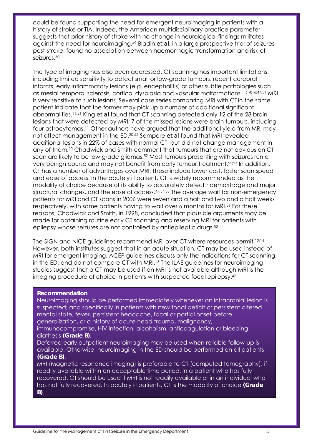could be found supporting the need for emergent neuroimaging in patients with a history of stroke or TIA. Indeed, the American multidisciplinary practice parameter suggests that prior history of stroke with no change in neurological findings militates against the need for neuroimaging.49 Bladin *et al*, in a large prospective trial of seizures post-stroke, found no association between haemorrhagic transformation and risk of seizures.50

The type of imaging has also been addressed. CT scanning has important limitations, including limited sensitivity to detect small or low-grade tumours, recent cerebral infarcts, early inflammatory lesions (e.g. encephalitis) or other subtle pathologies such as mesial temporal sclerosis, cortical dysplasia and vascular malformations.11;14;16;47;51 MRI is very sensitive to such lesions. Several case series comparing MRI with CT in the same patient indicate that the former may pick up a number of additional significant abnormalities.11;51 King *et al* found that CT scanning detected only 12 of the 28 brain lesions that were detected by MRI; 7 of the missed lesions were brain tumours, including four astrocytomas.11 Other authors have argued that the additional yield from MRI may not affect management in the ED.20;52 Sempere *et al* found that MRI revealed additional lesions in 22% of cases with normal CT, but did not change management in any of them.20 Chadwick and Smith comment that tumours that are not obvious on CT scan are likely to be low grade gliomas.52 Most tumours presenting with seizures run a very benign course and may not benefit from early tumour treatment.52;53 In addition, CT has a number of advantages over MRI. These include lower cost, faster scan speed and ease of access. In the acutely ill patient, CT is widely recommended as the modality of choice because of its ability to accurately detect haemorrhage and major structural changes, and the ease of access.47;54;55 The average wait for non-emergency patients for MRI and CT scans in 2006 were seven and a half and two and a half weeks respectively, with some patients having to wait over 6 months for MRI.<sup>56</sup> For these reasons, Chadwick and Smith, in 1998, concluded that plausible arguments may be made for obtaining routine early CT scanning and reserving MRI for patients with epilepsy whose seizures are not controlled by antiepileptic drugs.<sup>52</sup>

The SIGN and NICE guidelines recommend MRI over CT where resources permit.12;14 However, both institutes suggest that in an acute situation, CT may be used instead of MRI for emergent imaging. ACEP guidelines discuss only the indications for CT scanning in the ED, and do not compare CT with MRI.13 The ILAE guidelines for neuroimaging studies suggest that a CT may be used if an MRI is not available although MRI is the imaging procedure of choice in patients with suspected focal epilepsy.47

#### **Recommendation**

Neuroimaging should be performed immediately whenever an intracranial lesion is suspected; and specifically in patients with new focal deficit or persistent altered mental state, fever, persistent headache, focal or partial onset before generalization, or a history of acute head trauma, malignancy, immunocompromise, HIV infection, alcoholism, anticoagulation or bleeding

diathesis **(Grade B)**. Deferred early outpatient neuroimaging may be used when reliable follow-up is available. Otherwise, neuroimaging in the ED should be performed on all patients

## **(Grade B)**.

MRI (Magnetic resonance imaging) is preferable to CT (computed tomography), if readily available within an acceptable time period, in a patient who has fully recovered. CT should be used if MRI is not readily available or in an individual who has not fully recovered. In acutely ill patients, CT is the modality of choice **(Grade B)**.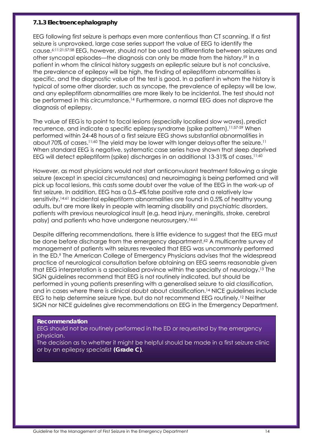## *7.1.3 Electroencephalography*

EEG following first seizure is perhaps even more contentious than CT scanning. If a first seizure is unprovoked, large case series support the value of EEG to identify the cause.6;11;21;57;58 EEG, however, should not be used to differentiate between seizures and other syncopal episodes—the diagnosis can only be made from the history.59 In a patient in whom the clinical history suggests an epileptic seizure but is not conclusive, the prevalence of epilepsy will be high, the finding of epileptiform abnormalities is specific, and the diagnostic value of the test is good. In a patient in whom the history is typical of some other disorder, such as syncope, the prevalence of epilepsy will be low, and any epileptiform abnormalities are more likely to be incidental. The test should not be performed in this circumstance.14 Furthermore, a normal EEG does not disprove the diagnosis of epilepsy.

The value of EEG is to point to focal lesions (especially localised slow waves), predict recurrence, and indicate a specific epilepsy syndrome (spike pattern).11;57-59 When performed within 24-48 hours of a first seizure EEG shows substantial abnormalities in about 70% of cases.<sup>11;60</sup> The yield may be lower with longer delays after the seizure.<sup>11</sup> When standard EEG is negative, systematic case series have shown that sleep deprived EEG will detect epileptiform (spike) discharges in an additional 13-31% of cases.<sup>11;60</sup>

However, as most physicians would not start anticonvulsant treatment following a single seizure (except in special circumstances) and neuroimaging is being performed and will pick up focal lesions, this casts some doubt over the value of the EEG in the work-up of first seizure. In addition, EEG has a 0.5–4% false positive rate and a relatively low sensitivity.14;61 Incidental epileptiform abnormalities are found in 0.5% of healthy young adults, but are more likely in people with learning disability and psychiatric disorders, patients with previous neurological insult (e.g. head injury, meningitis, stroke, cerebral palsy) and patients who have undergone neurosurgery.<sup>14;61</sup>

Despite differing recommendations, there is little evidence to suggest that the EEG must be done before discharge from the emergency department.<sup>62</sup> A multicentre survey of management of patients with seizures revealed that EEG was uncommonly performed in the ED.9 The American College of Emergency Physicians advises that the widespread practice of neurological consultation before obtaining an EEG seems reasonable given that EEG interpretation is a specialised province within the specialty of neurology.13 The SIGN guidelines recommend that EEG is not routinely indicated, but should be performed in young patients presenting with a generalised seizure to aid classification, and in cases where there is clinical doubt about classification.14 NICE guidelines include EEG to help determine seizure type, but do not recommend EEG routinely.12 Neither SIGN nor NICE guidelines give recommendations on EEG in the Emergency Department.

## **Recommendation**

EEG should not be routinely performed in the ED or requested by the emergency physician.

The decision as to whether it might be helpful should be made in a first seizure clinic or by an epilepsy specialist **(Grade C)**.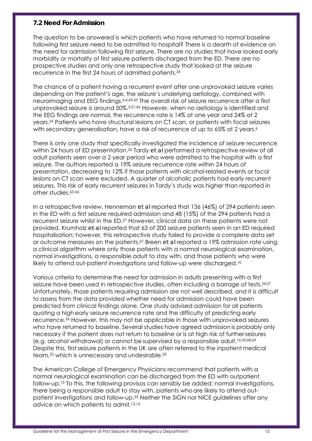# **7.2 Need For Admission**

The question to be answered is which patients who have returned to normal baseline following first seizure need to be admitted to hospital? There is a dearth of evidence on the need for admission following first seizure. There are no studies that have looked early morbidity or mortality of first seizure patients discharged from the ED. There are no prospective studies and only one retrospective study that looked at the seizure recurrence in the first 24 hours of admitted patients.26

The chance of a patient having a recurrent event after one unprovoked seizure varies depending on the patient's age, the seizure's underlying aetiology, combined with neuroimaging and EEG findings.<sup>6;6;63-65</sup> The overall risk of seizure recurrence after a first unprovoked seizure is around 50%.<sup>2;21;66</sup> However, when no aetiology is identified and the EEG findings are normal, the recurrence rate is 14% at one year and 24% at 2 years.64 Patients who have structural lesions on CT scan, or patients with focal seizures with secondary generalisation, have a risk of recurrence of up to 65% at 2 years.<sup>6</sup>

There is only one study that specifically investigated the incidence of seizure recurrence within 24 hours of ED presentation.26 Tardy *et al* performed a retrospective review of all adult patients seen over a 2 year period who were admitted to the hospital with a first seizure. The authors reported a 19% seizure recurrence rate within 24 hours of presentation, decreasing to 12% if those patients with alcohol-related events or focal lesions on CT scan were excluded. A quarter of alcoholic patients had early recurrent seizures. This risk of early recurrent seizures in Tardy's study was higher than reported in other studies.63-65

In a retrospective review, Henneman *et al* reported that 136 (46%) of 294 patients seen in the ED with a first seizure required admission and 48 (15%) of the 294 patients had a recurrent seizure whilst in the ED.27 However, clinical data on these patients were not provided. Krumholz *et al* reported that 63 of 200 seizure patients seen in an ED required hospitalisation; however, this retrospective study failed to provide a complete data set or outcome measures on the patients.67 Breen *et al* reported a 19% admission rate using a clinical algorithm where only those patients with a normal neurological examination, normal investigations, a responsible adult to stay with, and those patients who were likely to attend out-patient investigations and follow-up were discharged.10

Various criteria to determine the need for admission in adults presenting with a first seizure have been used in retrospective studies, often including a barrage of tests.<sup>24;27</sup> Unfortunately, those patients requiring admission are not well described, and it is difficult to assess from the data provided whether need for admission could have been predicted from clinical findings alone. One study advised admission for all patients quoting a high early seizure recurrence rate and the difficulty of predicting early recurrence.26 However, this may not be applicable in those with unprovoked seizures who have returned to baseline. Several studies have agreed admission is probably only necessary if the patient does not return to baseline or is at high risk of furtherseizures (e.g. alcohol withdrawal) or cannot be supervised by a responsible adult.16;25;68;69 Despite this, firstseizure patients in the UK are often referred to the inpatient medical team,25 which is unnecessary and undesirable.35

The American College of Emergency Physicians recommend that patients with a normal neurological examination can be discharged from the ED with outpatient follow-up.13 To this, the following provisos can sensibly be added: normal investigations, there being a responsible adult to stay with, patients whoare likely to attend outpatient investigations and follow-up.35 Neither the SIGN nor NICE guidelines offer any advice on which patients to admit.12;14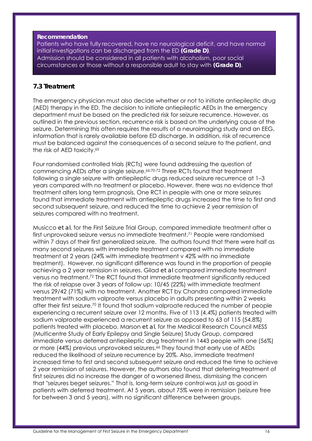## **Recommendation**

Patients who have fully recovered, have no neurological deficit, and have normal initial investigations can be discharged from the ED **(Grade D)**. Admission should be considered in all patients with alcoholism, poor social circumstances or those without a responsible adult to stay with **(Grade D)**.

## **7.3 Treatment**

The emergency physician must also decide whether or not to initiate antiepileptic drug (AED) therapy in the ED. The decision to initiate antiepileptic AEDs in the emergency department must be based on the predicted risk for seizure recurrence. However, as outlined in the previous section, recurrence risk is based on the underlying cause of the seizure. Determining this often requires the results of a neuroimaging study and an EEG, information that is rarely available before ED discharge. In addition, risk of recurrence must be balanced against the consequences of a second seizure to the patient, and the risk of AED toxicity.65

Four randomised controlled trials (RCTs) were found addressing the question of commencing AEDs after a single seizure.66;70-72 Three RCTs found that treatment following a single seizure with antiepileptic drugs reduced seizure recurrence at 1–3 years compared with no treatment or placebo. However, there was no evidence that treatment alters long term prognosis. One RCT in people with one or more seizures found that immediate treatment with antiepileptic drugs increased the time to first and second subsequent seizure, and reduced the time to achieve 2 year remission of seizures compared with no treatment.

Musicco *et al*, for the First Seizure Trial Group, compared immediate treatment after a first unprovoked seizure versus no immediate treatment.71 People were randomised within 7 days of their first generalized seizure. The authors found that there were half as many second seizures with immediate treatment compared with no immediate treatment at 2 years (24% with immediate treatment v 42% with no immediate treatment). However, no significant difference was found in the proportion of people achieving a 2 year remission in seizures. Gilad *et al* compared immediate treatment versus no treatment.72 The RCT found that immediate treatment significantly reduced the risk of relapse over 3 years of follow up: 10/45 (22%) with immediate treatment versus 29/42 (71%) with no treatment. Another RCT by Chandra compared immediate treatment with sodium valproate versus placebo in adults presenting within 2 weeks after their first seizure.70 It found that sodium valproate reduced the number of people experiencing a recurrent seizure over 12 months. Five of 113 (4.4%) patients treated with sodium valproate experienced a recurrent seizure as opposed to 63 of 115 (54.8%) patients treated with placebo. Marson *et al*, for the Medical Research Council MESS (Multicentre Study of Early Epilepsy and Single Seizure) Study Group, compared immediate versus deferred antiepileptic drug treatment in 1443 people with one (56%) or more (44%) previous unprovoked seizures.66 They found that early use of AEDs reduced the likelihood of seizure recurrence by 20%. Also, immediate treatment increased time to first and second subsequent seizure and reduced the time to achieve 2 year remission of seizures. However, the authors also found that deferring treatment of first seizures did no increase the danger of a worsened illness, dismissing the concern that "seizures beget seizures." That is, long-term seizure control was just as good in patients with deferred treatment. At 5 years, about 75% were in remission (seizure free for between 3 and 5 years), with no significant difference between groups.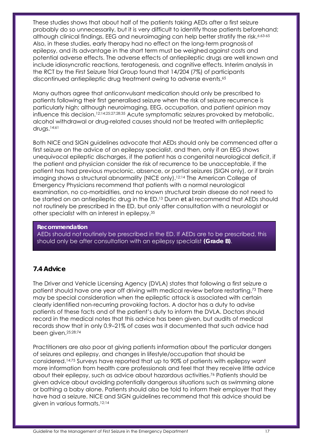These studies shows that about half of the patients taking AEDs after a first seizure probably do so unnecessarily, but it is very difficult to identify those patients beforehand; although clinical findings, EEG and neuroimaging can help better stratify the risk.<sup>6;63-65</sup> Also, in these studies, early therapy had no effect on the long-term prognosis of epilepsy, and its advantage in the short term must be weighed against costs and potential adverse effects. The adverse effects of antiepileptic drugs are well known and include idiosyncratic reactions, teratogenesis, and cognitive effects. Interim analysis in the RCT by the First Seizure Trial Group found that 14/204 (7%) of participants discontinued antiepileptic drug treatment owing to adverse events.65

Many authors agree that anticonvulsant medication should only be prescribed to patients following their first generalised seizure when the risk of seizure recurrence is particularly high; although neuroimaging, EEG, occupation, and patient opinion may influence this decision.<sup>12;14;25;27;28;35</sup> Acute symptomatic seizures provoked by metabolic, alcohol withdrawal or drug-related causes should not be treated with antiepileptic drugs.14;61

Both NICE and SIGN guidelines advocate that AEDs should only be commenced after a first seizure on the advice of an epilepsy specialist, and then, only if an EEG shows unequivocal epileptic discharges, if the patient has a congenital neurological deficit, if the patient and physician consider the risk of recurrence to be unacceptable, if the patient has had previous myoclonic, absence, or partial seizures (SIGN only), or if brain imaging shows a structural abnormality (NICE only).<sup>12;14</sup> The American College of Emergency Physicians recommend that patients with a normal neurological examination, no co-morbidities, and no known structural brain disease do not need to be started on an antiepileptic drug in the ED.13 Dunn *et al* recommend that AEDs should not routinely be prescribed in the ED, but only after consultation with a neurologist or other specialist with an interest in epilepsy.35

## **Recommendation**

AEDs should not routinely be prescribed in the ED. If AEDs are to be prescribed, this should only be after consultation with an epilepsy specialist **(Grade B)**.

# **7.4 Advice**

The Driver and Vehicle Licensing Agency (DVLA) states that following a first seizure a patient should have one year off driving with medical review before restarting.73 There may be special consideration when the epileptic attack is associated with certain clearly identified non-recurring provoking factors. A doctor has a duty to advise patients of these facts and of the patient's duty to inform the DVLA. Doctors should record in the medical notes that this advice has been given, but audits of medical records show that in only 0.9–21% of cases was it documented that such advice had been given.25;28;74

Practitioners are also poor at giving patients information about the particular dangers of seizures and epilepsy, and changes in lifestyle/occupation that should be considered.14;75 Surveys have reported that up to 90% of patients with epilepsy want more information from health care professionals and feel that they receive little advice about their epilepsy, such as advice about hazardous activities.76 Patients should be given advice about avoiding potentially dangerous situations such as swimming alone or bathing a baby alone. Patients should also be told to inform their employer that they have had a seizure. NICE and SIGN guidelines recommend that this advice should be given in various formats.12;14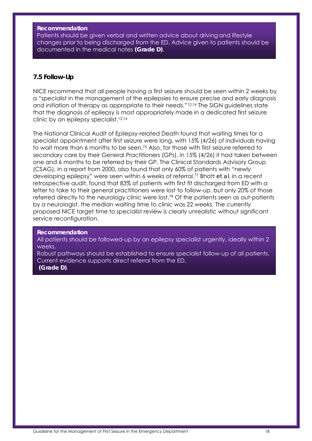#### **Recommendation**

Patients should be given verbal and written advice about driving and lifestyle changes prior to being discharged from the ED. Advice given to patients should be documented in the medical notes **(Grade D)**.

## **7.5 Follow-Up**

NICE recommend that all people having a first seizure should be seen within 2 weeks by a "specialist in the management of the epilepsies to ensure precise and early diagnosis and initiation of therapy as appropriate to their needs."12;14 The SIGN guidelines state that the diagnosis of epilepsy is most appropriately made in a dedicated first seizure clinic by an epilepsy specialist.12;14

The National Clinical Audit of Epilepsy-related Death found that waiting times for a specialist appointment after first seizure were long, with 15% (4/26) of individuals having to wait more than 6 months to be seen.75 Also, for those with first seizure referred to secondary care by their General Practitioners (GPs), in 15% (4/26) it had taken between one and 6 months to be referred by their GP. The Clinical Standards Advisory Group (CSAG), in a report from 2000, also found that only 60% of patients with "newly developing epilepsy" were seen within 6 weeks of referral.77 Bhatt *et al*, in a recent retrospective audit, found that 83% of patients with first fit discharged from ED with a letter to take to their general practitioners were lost to follow-up, but only 20% of those referred directly to the neurology clinic were lost.<sup>78</sup> Of the patients seen as out-patients by a neurologist, the median waiting time to clinic was 22 weeks. The currently proposed NICE target time to specialist review is clearly unrealistic without significant service reconfiguration.

#### **Recommendation**

All patients should be followed-up by an epilepsy specialist urgently, ideally within 2 weeks.

Robust pathways should be established to ensure specialist follow-up of all patients. Current evidence supports direct referral from the ED.  **(Grade D)**.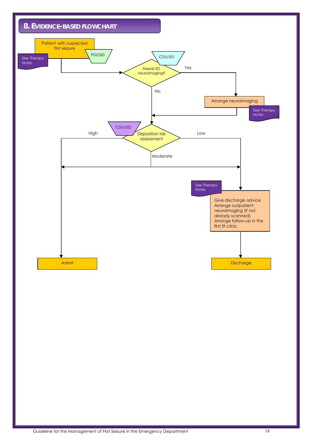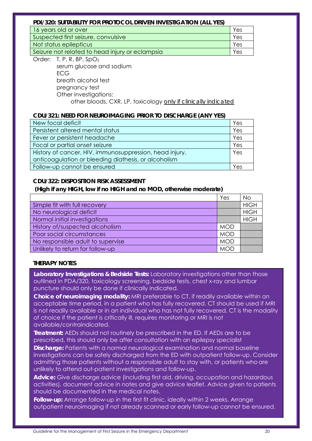## **PDI/320: SUITABILITY FOR PROTOCOL DRIVEN INVESTIGATION (ALL YES)**

| 16 years old or over                            | Yes |
|-------------------------------------------------|-----|
| Suspected first seizure, convulsive             | Yes |
| Not status epilepticus                          | Yes |
| Seizure not related to head injury or eclampsia | Yes |
|                                                 |     |

Order: T, P, R, BP, SpO2 serum glucose and sodium ECG breath alcohol test pregnancy test Other investigations: other bloods, CXR, LP, toxicology *only if clinically indicated*

## **CDU/321: NEED FOR NEUROIMAGING PRIOR TO DISCHARGE (ANY YES)**

| New focal deficit                                       | Yes |
|---------------------------------------------------------|-----|
| Persistent altered mental status                        | Yes |
| Fever or persistent headache                            | Yes |
| Focal or partial onset seizure                          | Yes |
| History of cancer, HIV, immunosuppression, head injury, | Yes |
| anticoagulation or bleeding diathesis, or alcoholism    |     |
| Follow-up cannot be ensured                             | Yes |

# **CDU/322: DISPOSITION RISK ASSESSMENT**

## **(High if any HIGH, low if no HIGH and no MOD, otherwise moderate)**

|                                   | Yes        | <b>No</b>   |
|-----------------------------------|------------|-------------|
| Simple fit with full recovery     |            | <b>HIGH</b> |
| No neurological deficit           |            | <b>HIGH</b> |
| Normal initial investigations     |            | <b>HIGH</b> |
| History of/suspected alcoholism   | <b>MOD</b> |             |
| Poor social circumstances         | <b>MOD</b> |             |
| No responsible adult to supervise | <b>MOD</b> |             |
| Unlikely to return for follow-up  | <b>MOD</b> |             |

## **THERAPY NOTES**

**Laboratory Investigations & Bedside Tests:** Laboratory investigations other than those outlined in PDA/320, toxicology screening, bedside tests, chest x-ray and lumbar puncture should only be done if clinically indicated.

**Choice of neuroimaging modality:** MRI preferable to CT, if readily available within an acceptable time period, in a patient who has fully recovered. CT should be used if MRI is not readily available or in an individual who has not fully recovered. CT is the modality of choice if the patient is critically ill, requires monitoring or MRI is not available/contraindicated.

**Treatment:** AEDs should not routinely be prescribed in the ED. If AEDs are to be prescribed, this should only be after consultation with an epilepsy specialist

**Discharge:** Patients with a normal neurological examination and normal baseline investigations can be safely discharged from the ED with outpatient follow-up. Consider admitting those patients without a responsible adult to stay with, or patients who are unlikely to attend out-patient investigations and follow-up.

**Advice:** Give discharge advice (including first aid, driving, occupation and hazardous activities), document advice in notes and give advice leaflet. Advice given to patients should be documented in the medical notes.

**Follow-up:** Arrange follow-up in the first fit clinic, ideally within 2 weeks. Arrange outpatient neuroimaging if not already scanned or early follow-up cannot be ensured.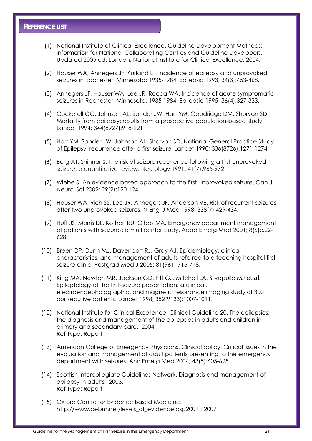- (1) National Institute of Clinical Excellence. Guideline Development Methods: Information for National Collaborating Centres and Guideline Developers. Updated 2005 ed. London: National Institute for Clinical Excellence; 2004.
- (2) Hauser WA, Annegers JF, Kurland LT. Incidence of epilepsy and unprovoked seizures in Rochester, Minnesota: 1935-1984. Epilepsia 1993; 34(3):453-468.
- (3) Annegers JF, Hauser WA, Lee JR, Rocca WA. Incidence of acute symptomatic seizures in Rochester, Minnesota, 1935-1984. Epilepsia 1995; 36(4):327-333.
- (4) Cockerell OC, Johnson AL, Sander JW, Hart YM, Goodridge DM, Shorvon SD. Mortality from epilepsy: results from a prospective population-based study. Lancet 1994; 344(8927):918-921.
- (5) Hart YM, Sander JW, Johnson AL, Shorvon SD. National General Practice Study of Epilepsy: recurrence after a first seizure. Lancet 1990; 336(8726):1271-1274.
- (6) Berg AT, Shinnar S. The risk of seizure recurrence following a first unprovoked seizure: a quantitative review. Neurology 1991; 41(7):965-972.
- (7) Wiebe S. An evidence based approach to the first unprovoked seizure. Can J Neurol Sci 2002; 29(2):120-124.
- (8) Hauser WA, Rich SS, Lee JR, Annegers JF, Anderson VE. Risk of recurrent seizures after two unprovoked seizures. N Engl J Med 1998; 338(7):429-434.
- (9) Huff JS, Morris DL, Kothari RU, Gibbs MA. Emergency department management of patients with seizures: a multicenter study. Acad Emerg Med 2001; 8(6):622- 628.
- (10) Breen DP, Dunn MJ, Davenport RJ, Gray AJ. Epidemiology, clinical characteristics, and management of adults referred to a teaching hospital first seizure clinic. Postgrad Med J 2005; 81(961):715-718.
- (11) King MA, Newton MR, Jackson GD, Fitt GJ, Mitchell LA, Silvapulle MJ *et al*. Epileptology of the first-seizure presentation: a clinical, electroencephalographic, and magnetic resonance imaging study of 300 consecutive patients. Lancet 1998; 352(9133):1007-1011.
- (12) National Institute for Clinical Excellence. Clinical Guideline 20. The epilepsies: the diagnosis and management of the epilepsies in adults and children in primary and secondary care. 2004. Ref Type: Report
- (13) American College of Emergency Physicians. Clinical policy: Critical issues in the evaluation and management of adult patients presenting to the emergency department with seizures. Ann Emerg Med 2004; 43(5):605-625.
- (14) Scottish Intercollegiate Guidelines Network. Diagnosis and management of epilepsy in adults. 2003. Ref Type: Report
- (15) Oxford Centre for Evidence Based Medicine. http://www.cebm.net/levels\_of\_evidence asp2001 [ 2007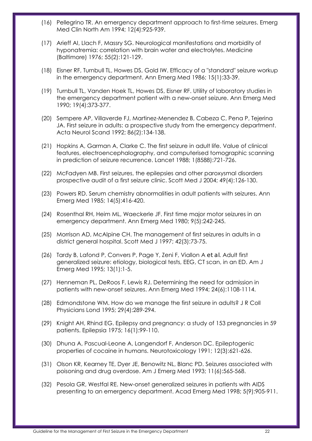- (16) Pellegrino TR. An emergency department approach to first-time seizures. Emerg Med Clin North Am 1994; 12(4):925-939.
- (17) Arieff AI, Llach F, Massry SG. Neurological manifestations and morbidity of hyponatremia: correlation with brain water and electrolytes. Medicine (Baltimore) 1976; 55(2):121-129.
- (18) Eisner RF, Turnbull TL, Howes DS, Gold IW. Efficacy of a "standard" seizure workup in the emergency department. Ann Emerg Med 1986; 15(1):33-39.
- (19) Turnbull TL, Vanden Hoek TL, Howes DS, Eisner RF. Utility of laboratory studies in the emergency department patient with a new-onset seizure. Ann Emerg Med 1990; 19(4):373-377.
- (20) Sempere AP, Villaverde FJ, Martinez-Menendez B, Cabeza C, Pena P, Tejerina JA. First seizure in adults: a prospective study from the emergency department. Acta Neurol Scand 1992; 86(2):134-138.
- (21) Hopkins A, Garman A, Clarke C. The first seizure in adult life. Value of clinical features, electroencephalography, and computerised tomographic scanning in prediction of seizure recurrence. Lancet 1988; 1(8588):721-726.
- (22) McFadyen MB. First seizures, the epilepsies and other paroxysmal disorders prospective audit of a first seizure clinic. Scott Med J 2004; 49(4):126-130.
- (23) Powers RD. Serum chemistry abnormalities in adult patients with seizures. Ann Emerg Med 1985; 14(5):416-420.
- (24) Rosenthal RH, Heim ML, Waeckerle JF. First time major motor seizures in an emergency department. Ann Emerg Med 1980; 9(5):242-245.
- (25) Morrison AD, McAlpine CH. The management of first seizures in adults in a district general hospital. Scott Med J 1997; 42(3):73-75.
- (26) Tardy B, Lafond P, Convers P, Page Y, Zeni F, Viallon A *et al*. Adult first generalized seizure: etiology, biological tests, EEG, CT scan, in an ED. Am J Emerg Med 1995; 13(1):1-5.
- (27) Henneman PL, DeRoos F, Lewis RJ. Determining the need for admission in patients with new-onset seizures. Ann Emerg Med 1994; 24(6):1108-1114.
- (28) Edmondstone WM. How do we manage the first seizure in adults? J R Coll Physicians Lond 1995; 29(4):289-294.
- (29) Knight AH, Rhind EG. Epilepsy and pregnancy: a study of 153 pregnancies in 59 patients. Epilepsia 1975; 16(1):99-110.
- (30) Dhuna A, Pascual-Leone A, Langendorf F, Anderson DC. Epileptogenic properties of cocaine in humans. Neurotoxicology 1991; 12(3):621-626.
- (31) Olson KR, Kearney TE, Dyer JE, Benowitz NL, Blanc PD. Seizures associated with poisoning and drug overdose. Am J Emerg Med 1993; 11(6):565-568.
- (32) Pesola GR, Westfal RE. New-onset generalized seizures in patients with AIDS presenting to an emergency department. Acad Emerg Med 1998; 5(9):905-911.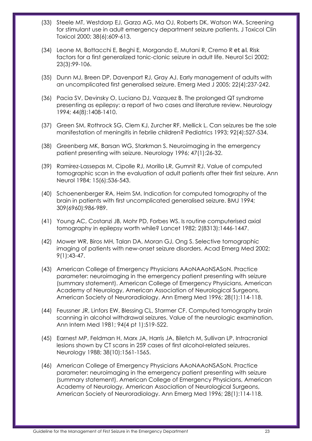- (33) Steele MT, Westdorp EJ, Garza AG, Ma OJ, Roberts DK, Watson WA. Screening for stimulant use in adult emergency department seizure patients. J Toxicol Clin Toxicol 2000; 38(6):609-613.
- (34) Leone M, Bottacchi E, Beghi E, Morgando E, Mutani R, Cremo R *et al*. Risk factors for a first generalized tonic-clonic seizure in adult life. Neurol Sci 2002; 23(3):99-106.
- (35) Dunn MJ, Breen DP, Davenport RJ, Gray AJ. Early management of adults with an uncomplicated first generalised seizure. Emerg Med J 2005; 22(4):237-242.
- (36) Pacia SV, Devinsky O, Luciano DJ, Vazquez B. The prolonged QT syndrome presenting as epilepsy: a report of two cases and literature review. Neurology 1994; 44(8):1408-1410.
- (37) Green SM, Rothrock SG, Clem KJ, Zurcher RF, Mellick L. Can seizures be the sole manifestation of meningitis in febrile children? Pediatrics 1993; 92(4):527-534.
- (38) Greenberg MK, Barsan WG, Starkman S. Neuroimaging in the emergency patient presenting with seizure. Neurology 1996; 47(1):26-32.
- (39) Ramirez-Lassepas M, Cipolle RJ, Morillo LR, Gumnit RJ. Value of computed tomographic scan in the evaluation of adult patients after their first seizure. Ann Neurol 1984; 15(6):536-543.
- (40) Schoenenberger RA, Heim SM. Indication for computed tomography of the brain in patients with first uncomplicated generalised seizure. BMJ 1994; 309(6960):986-989.
- (41) Young AC, Costanzi JB, Mohr PD, Forbes WS. Is routine computerised axial tomography in epilepsy worth while? Lancet 1982; 2(8313):1446-1447.
- (42) Mower WR, Biros MH, Talan DA, Moran GJ, Ong S. Selective tomographic imaging of patients with new-onset seizure disorders. Acad Emerg Med 2002; 9(1):43-47.
- (43) American College of Emergency Physicians AAoNAAoNSASoN. Practice parameter: neuroimaging in the emergency patient presenting with seizure (summary statement). American College of Emergency Physicians, American Academy of Neurology, American Association of Neurological Surgeons, American Society of Neuroradiology. Ann Emerg Med 1996; 28(1):114-118.
- (44) Feussner JR, Linfors EW, Blessing CL, Starmer CF. Computed tomography brain scanning in alcohol withdrawal seizures. Value of the neurologic examination. Ann Intern Med 1981; 94(4 pt 1):519-522.
- (45) Earnest MP, Feldman H, Marx JA, Harris JA, Biletch M, Sullivan LP. Intracranial lesions shown by CT scans in 259 cases of first alcohol-related seizures. Neurology 1988; 38(10):1561-1565.
- (46) American College of Emergency Physicians AAoNAAoNSASoN. Practice parameter: neuroimaging in the emergency patient presenting with seizure (summary statement). American College of Emergency Physicians, American Academy of Neurology, American Association of Neurological Surgeons, American Society of Neuroradiology. Ann Emerg Med 1996; 28(1):114-118.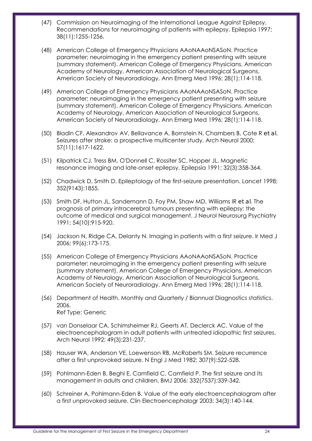- (47) Commission on Neuroimaging of the International League Against Epilepsy. Recommendations for neuroimaging of patients with epilepsy. Epilepsia 1997; 38(11):1255-1256.
- (48) American College of Emergency Physicians AAoNAAoNSASoN. Practice parameter: neuroimaging in the emergency patient presenting with seizure (summary statement). American College of Emergency Physicians, American Academy of Neurology, American Association of Neurological Surgeons, American Society of Neuroradiology. Ann Emerg Med 1996; 28(1):114-118.
- (49) American College of Emergency Physicians AAoNAAoNSASoN. Practice parameter: neuroimaging in the emergency patient presenting with seizure (summary statement). American College of Emergency Physicians, American Academy of Neurology, American Association of Neurological Surgeons, American Society of Neuroradiology. Ann Emerg Med 1996; 28(1):114-118.
- (50) Bladin CF, Alexandrov AV, Bellavance A, Bornstein N, Chambers B, Cote R *et al*. Seizures after stroke: a prospective multicenter study. Arch Neurol 2000; 57(11):1617-1622.
- (51) Kilpatrick CJ, Tress BM, O'Donnell C, Rossiter SC, Hopper JL. Magnetic resonance imaging and late-onset epilepsy. Epilepsia 1991; 32(3):358-364.
- (52) Chadwick D, Smith D. Epileptology of the first-seizure presentation. Lancet 1998; 352(9143):1855.
- (53) Smith DF, Hutton JL, Sandemann D, Foy PM, Shaw MD, Williams IR *et al*. The prognosis of primary intracerebral tumours presenting with epilepsy: the outcome of medical and surgical management. J Neurol Neurosurg Psychiatry 1991; 54(10):915-920.
- (54) Jackson N, Ridge CA, Delanty N. Imaging in patients with a first seizure. Ir Med J 2006; 99(6):173-175.
- (55) American College of Emergency Physicians AAoNAAoNSASoN. Practice parameter: neuroimaging in the emergency patient presenting with seizure (summary statement). American College of Emergency Physicians, American Academy of Neurology, American Association of Neurological Surgeons, American Society of Neuroradiology. Ann Emerg Med 1996; 28(1):114-118.
- (56) Department of Health. Monthly and Quarterly / Biannual Diagnostics statistics. 2006. Ref Type: Generic
- (57) van Donselaar CA, Schimsheimer RJ, Geerts AT, Declerck AC. Value of the electroencephalogram in adult patients with untreated idiopathic first seizures. Arch Neurol 1992; 49(3):231-237.
- (58) Hauser WA, Anderson VE, Loewenson RB, McRoberts SM. Seizure recurrence after a first unprovoked seizure. N Engl J Med 1982; 307(9):522-528.
- (59) Pohlmann-Eden B, Beghi E, Camfield C, Camfield P. The first seizure and its management in adults and children. BMJ 2006; 332(7537):339-342.
- (60) Schreiner A, Pohlmann-Eden B. Value of the early electroencephalogram after a first unprovoked seizure. Clin Electroencephalogr 2003; 34(3):140-144.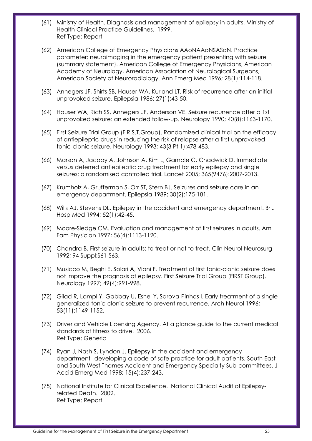- (61) Ministry of Health. Diagnosis and management of epilepsy in adults. Ministry of Health Clinical Practice Guidelines. 1999. Ref Type: Report
- (62) American College of Emergency Physicians AAoNAAoNSASoN. Practice parameter: neuroimaging in the emergency patient presenting with seizure (summary statement). American College of Emergency Physicians, American Academy of Neurology, American Association of Neurological Surgeons, American Society of Neuroradiology. Ann Emerg Med 1996; 28(1):114-118.
- (63) Annegers JF, Shirts SB, Hauser WA, Kurland LT. Risk of recurrence after an initial unprovoked seizure. Epilepsia 1986; 27(1):43-50.
- (64) Hauser WA, Rich SS, Annegers JF, Anderson VE. Seizure recurrence after a 1st unprovoked seizure: an extended follow-up. Neurology 1990; 40(8):1163-1170.
- (65) First Seizure Trial Group (FIR.S.T.Group). Randomized clinical trial on the efficacy of antiepileptic drugs in reducing the risk of relapse after a first unprovoked tonic-clonic seizure. Neurology 1993; 43(3 Pt 1):478-483.
- (66) Marson A, Jacoby A, Johnson A, Kim L, Gamble C, Chadwick D. Immediate versus deferred antiepileptic drug treatment for early epilepsy and single seizures: a randomised controlled trial. Lancet 2005; 365(9476):2007-2013.
- (67) Krumholz A, Grufferman S, Orr ST, Stern BJ. Seizures and seizure care in an emergency department. Epilepsia 1989; 30(2):175-181.
- (68) Wills AJ, Stevens DL. Epilepsy in the accident and emergency department. Br J Hosp Med 1994; 52(1):42-45.
- (69) Moore-Sledge CM. Evaluation and management of first seizures in adults. Am Fam Physician 1997; 56(4):1113-1120.
- (70) Chandra B. First seizure in adults: to treat or not to treat. Clin Neurol Neurosurg 1992; 94 Suppl:S61-S63.
- (71) Musicco M, Beghi E, Solari A, Viani F. Treatment of first tonic-clonic seizure does not improve the prognosis of epilepsy. First Seizure Trial Group (FIRST Group). Neurology 1997; 49(4):991-998.
- (72) Gilad R, Lampl Y, Gabbay U, Eshel Y, Sarova-Pinhas I. Early treatment of a single generalized tonic-clonic seizure to prevent recurrence. Arch Neurol 1996; 53(11):1149-1152.
- (73) Driver and Vehicle Licensing Agency. At a glance guide to the current medical standards of fitness to drive. 2006. Ref Type: Generic
- (74) Ryan J, Nash S, Lyndon J. Epilepsy in the accident and emergency department--developing a code of safe practice for adult patients. South East and South West Thames Accident and Emergency Specialty Sub-committees. J Accid Emerg Med 1998; 15(4):237-243.
- (75) National Institute for Clinical Excellence. National Clinical Audit of Epilepsyrelated Death. 2002. Ref Type: Report